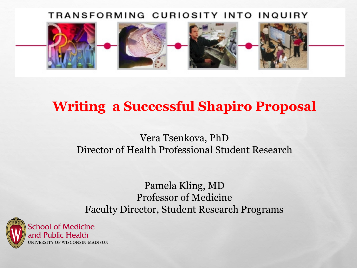#### TRANSFORMING CURIOSITY INTO INQUIRY



## **Writing a Successful Shapiro Proposal**

### Vera Tsenkova, PhD Director of Health Professional Student Research

Pamela Kling, MD Professor of Medicine Faculty Director, Student Research Programs

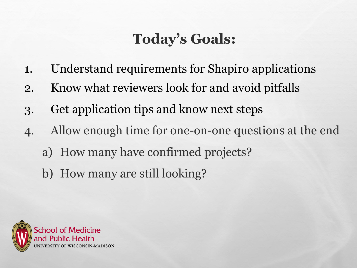# **Today's Goals:**

- 1. Understand requirements for Shapiro applications
- 2. Know what reviewers look for and avoid pitfalls
- 3. Get application tips and know next steps
- 4. Allow enough time for one-on-one questions at the end
	- a) How many have confirmed projects?
	- b) How many are still looking?

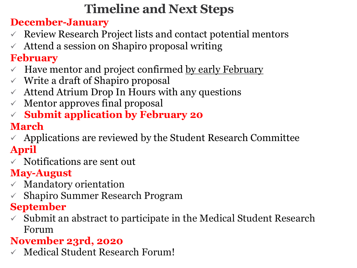# **Timeline and Next Steps**

### **December-January**

- $\checkmark$  Review Research Project lists and contact potential mentors
- $\chi$  Attend a session on Shapiro proposal writing

## **February**

- $\vee$  Have mentor and project confirmed by early February
- $\checkmark$  Write a draft of Shapiro proposal
- $\chi$  Attend Atrium Drop In Hours with any questions
- $\checkmark$  Mentor approves final proposal
- **Submit application by February 20**

## **March**

- $\sim$  Applications are reviewed by the Student Research Committee **April**
- $\checkmark$  Notifications are sent out

## **May-August**

- $\times$  Mandatory orientation
- $\checkmark$  Shapiro Summer Research Program

### **September**

 $\checkmark$  Submit an abstract to participate in the Medical Student Research Forum

## **November 23rd, 2020**

 $\checkmark$  Medical Student Research Forum!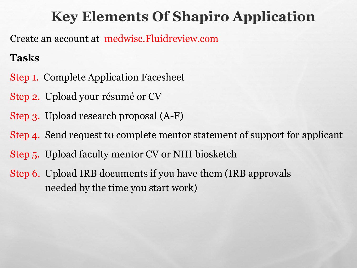# **Key Elements Of Shapiro Application**

Create an account at medwisc.Fluidreview.com

### **Tasks**

- Step 1. Complete Application Facesheet
- Step 2. Upload your résumé or CV
- Step 3. Upload research proposal (A-F)
- Step 4. Send request to complete mentor statement of support for applicant
- Step 5. Upload faculty mentor CV or NIH biosketch
- Step 6. Upload IRB documents if you have them (IRB approvals needed by the time you start work)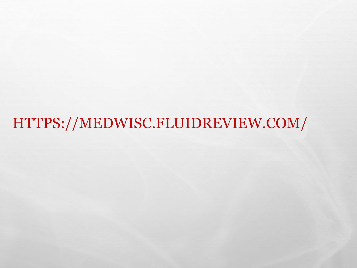HTTPS://MEDWISC.FLUIDREVIEW.COM/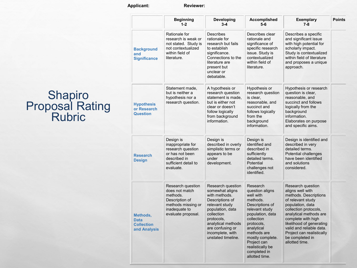#### **Applicant: Reviewer:**

|                                                              | <b>Beginning</b><br>$1-2$                                                                                                      | Developing<br>$3 - 4$                                                                                                                                                                                                          | <b>Accomplished</b><br>$5-6$                                                                                                                                                                                                                                    | <b>Exemplary</b><br>$7 - 8$                                                                                                                                                                                                                                                                                | <b>Points</b> |
|--------------------------------------------------------------|--------------------------------------------------------------------------------------------------------------------------------|--------------------------------------------------------------------------------------------------------------------------------------------------------------------------------------------------------------------------------|-----------------------------------------------------------------------------------------------------------------------------------------------------------------------------------------------------------------------------------------------------------------|------------------------------------------------------------------------------------------------------------------------------------------------------------------------------------------------------------------------------------------------------------------------------------------------------------|---------------|
| <b>Background</b><br>and<br><b>Significance</b>              | Rationale for<br>research is weak or<br>not stated. Study is<br>not contextualized<br>within field of<br>literature.           | <b>Describes</b><br>rationale for<br>research but fails<br>to establish<br>significance.<br>Connections to the<br>literature are<br>present but<br>unclear or<br>debatable.                                                    | Describes clear<br>rationale and<br>significance of<br>specific research<br>issue. Study is<br>contextualized<br>within field of<br>literature.                                                                                                                 | Describes a specific<br>and significant issue<br>with high potential for<br>scholarly impact.<br>Study is contextualized<br>within field of literature<br>and proposes a unique<br>approach.                                                                                                               |               |
| <b>Hypothesis</b><br>or Research<br><b>Question</b>          | Statement made,<br>but is neither a<br>hypothesis nor a<br>research question.                                                  | A hypothesis or<br>research question<br>statement is made,<br>but is either not<br>clear or doesn't<br>follow logically<br>from background<br>information.                                                                     | Hypothesis or<br>research question<br>is clear.<br>reasonable, and<br>succinct and<br>follows logically<br>from the<br>background<br>information.                                                                                                               | Hypothesis or research<br>question is clear,<br>reasonable, and<br>succinct and follows<br>logically from the<br>background<br>information.<br>Elaborates on purpose<br>and specific aims.                                                                                                                 |               |
| <b>Research</b><br><b>Design</b>                             | Design is<br>inappropriate for<br>research question<br>or has not been<br>described in<br>sufficient detail to<br>evaluate.    | Design is<br>described in overly<br>simplistic terms or<br>appears to be<br>under<br>development.                                                                                                                              | Design is<br>identified and<br>described in<br>sufficiently<br>detailed terms.<br>Potential<br>challenges not<br>identified.                                                                                                                                    | Design is identified and<br>described in very<br>detailed terms.<br>Potential challenges<br>have been identified<br>and solutions<br>considered.                                                                                                                                                           |               |
| Methods,<br><b>Data</b><br><b>Collection</b><br>and Analysis | Research question<br>does not match<br>methods.<br>Description of<br>methods missing or<br>inadequate to<br>evaluate proposal. | Research question<br>somewhat aligns<br>with methods.<br>Descriptions of<br>relevant study<br>population, data<br>collection<br>protocols,<br>analytical methods<br>are confusing or<br>incomplete, with<br>unstated timeline. | Research<br>question aligns<br>well with<br>methods.<br>Descriptions of<br>relevant study<br>population, data<br>collection<br>protocols,<br>analytical<br>methods are<br>mostly complete.<br>Project can<br>realistically be<br>completed in<br>allotted time. | Research question<br>aligns well with<br>methods. Descriptions<br>of relevant study<br>population, data<br>collection protocols,<br>analytical methods are<br>complete with high<br>likelihood of generating<br>valid and reliable data.<br>Project can realistically<br>be completed in<br>allotted time. |               |

# **Shapiro** Proposal Rating Rubric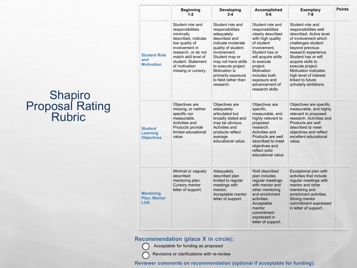# **Shapiro** Proposal Rating Rubric

|                                                       | <b>Beginning</b><br>$1 - 2$                                                                                                                                                                                               | Developing<br>$3 - 4$                                                                                                                                                                                                                                                      | Accomplished<br>$5-6$                                                                                                                                                                                                                                                | <b>Exemplary</b><br>$7 - 8$                                                                                                                                                                                                                                                                                                        | Points |
|-------------------------------------------------------|---------------------------------------------------------------------------------------------------------------------------------------------------------------------------------------------------------------------------|----------------------------------------------------------------------------------------------------------------------------------------------------------------------------------------------------------------------------------------------------------------------------|----------------------------------------------------------------------------------------------------------------------------------------------------------------------------------------------------------------------------------------------------------------------|------------------------------------------------------------------------------------------------------------------------------------------------------------------------------------------------------------------------------------------------------------------------------------------------------------------------------------|--------|
| <b>Student Role</b><br>and<br><b>Motivation</b>       | Student role and<br>responsibilities<br>minimally<br>described, indicate<br>low quality of<br>involvement in<br>research, or do not<br>match skill level of<br>student. Statement<br>of motivation<br>missing or cursory. | Student role and<br>responsibilities<br>adequately<br>described and<br>indicate moderate<br>quality of student<br>involvement.<br>Student may or<br>may not have skills<br>to execute project.<br>Motivation is<br>primarily exposure<br>to field rather than<br>research. | Student role and<br>responsibilities<br>clearly described<br>with high quality<br>of student<br>involvement.<br>Student has or<br>will acquire skills<br>to execute<br>project.<br>Motivation<br>includes both<br>exposure and<br>advancement of<br>research skills. | Student role and<br>responsibilities well<br>described. Active level<br>of involvement which<br>challenges student<br>beyond previous<br>research experience.<br>Student has or will<br>acquire skills to<br>execute project.<br><b>Motivation indicates</b><br>high level of interest<br>linked to future<br>scholarly ambitions. |        |
| <b>Student</b><br>Learning<br><b>Objectives</b>       | Objectives are<br>missing, or neither<br>specific nor<br>measurable.<br>Activities and<br>Products provide<br>limited educational<br>value.                                                                               | Objectives are<br>adequately<br>articulated but<br>broadly stated and<br>may be obvious.<br>Activities and<br>products reflect<br>average<br>educational value.                                                                                                            | Objectives are<br>specific,<br>measurable, and<br>highly relevant to<br>proposed<br>research.<br>Activities and<br>Products are well<br>described to meet<br>objectives and<br>reflect solid<br>educational value.                                                   | Objectives are specific,<br>measurable, and highly<br>relevant to proposed<br>research. Activities and<br>Products are well<br>described to meet<br>objectives and reflect<br>excellent educational<br>value                                                                                                                       |        |
| <b>Mentoring</b><br><b>Plan; Mentor</b><br><b>LOS</b> | Minimal or vaguely<br>described<br>mentoring plan;<br>Cursory mentor<br>letter of support.                                                                                                                                | Adequately<br>described plan<br>limited to regular<br>meetings with<br>mentor:<br>Acceptable mentor<br>letter of support.                                                                                                                                                  | Well described<br>plan includes<br>regular meetings<br>with mentor and<br>other mentoring<br>and enrichment<br>activities.<br>Acceptable<br>mentor<br>commitment<br>expressed in<br>letter of support.                                                               | Exceptional plan with<br>activities that include<br>regular meetings with<br>mentor and other<br>mentoring and<br>enrichment activities.<br>Strong mentor<br>commitment expressed<br>in letter of support.                                                                                                                         |        |

#### **Recommendation (place X in circle):**

Acceptable for funding as proposed

Revisions or clarifications with re-review

**Reviewer comments on recommendation (optional if acceptable for funding):**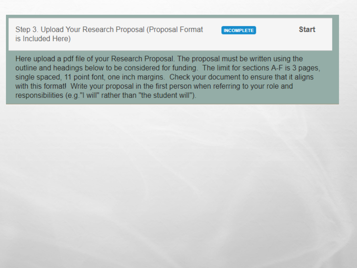Step 3. Upload Your Research Proposal (Proposal Format is Included Here)

**INCOMPLETE** 

**Start** 

Here upload a pdf file of your Research Proposal. The proposal must be written using the outline and headings below to be considered for funding. The limit for sections A-F is 3 pages, single spaced, 11 point font, one inch margins. Check your document to ensure that it aligns with this format! Write your proposal in the first person when referring to your role and responsibilities (e.g." I will" rather than "the student will").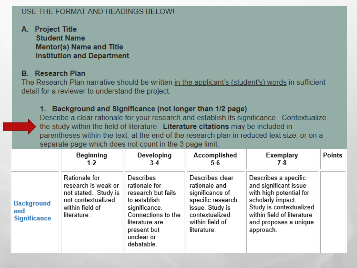#### USE THE FORMAT AND HEADINGS BELOWL

A. Project Title **Student Name Mentor(s) Name and Title Institution and Department** 

#### **B.** Research Plan

The Research Plan narrative should be written in the applicant's (student's) words in sufficient detail for a reviewer to understand the project.

#### 1. Background and Significance (not longer than 1/2 page)

Describe a clear rationale for your research and establish its significance. Contextualize the study within the field of literature. Literature citations may be included in parentheses within the text, at the end of the research plan in reduced text size, or on a separate page which does not count in the 3 page limit.

|                                                 | Beginning<br>1-2                                                                                                     | Developing<br>3-4                                                                                                                                                    | Accomplished<br>5-6                                                                                                                             | Exemplary<br>7.8                                                                                                                                                                             | Points |
|-------------------------------------------------|----------------------------------------------------------------------------------------------------------------------|----------------------------------------------------------------------------------------------------------------------------------------------------------------------|-------------------------------------------------------------------------------------------------------------------------------------------------|----------------------------------------------------------------------------------------------------------------------------------------------------------------------------------------------|--------|
| <b>Background</b><br>and<br><b>Significance</b> | Rationale for<br>research is weak or<br>not stated. Study is<br>not contextualized<br>within field of<br>literature. | Describes<br>rationale for<br>research but fails<br>to establish<br>significance.<br>Connections to the<br>literature are<br>present but<br>unclear or<br>debatable. | Describes clear<br>rationale and<br>significance of<br>specific research<br>issue. Study is<br>contextualized<br>within field of<br>literature. | Describes a specific<br>and significant issue<br>with high potential for<br>scholarly impact.<br>Study is contextualized<br>within field of literature<br>and proposes a unique<br>approach. |        |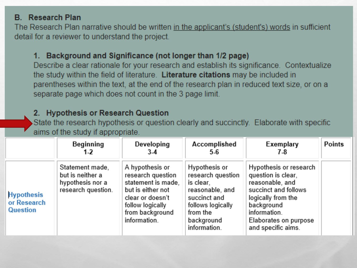#### **B.** Research Plan

The Research Plan narrative should be written in the applicant's (student's) words in sufficient detail for a reviewer to understand the project.

#### 1. Background and Significance (not longer than 1/2 page)

Describe a clear rationale for your research and establish its significance. Contextualize the study within the field of literature. Literature citations may be included in parentheses within the text, at the end of the research plan in reduced text size, or on a separate page which does not count in the 3 page limit.

#### 2. Hypothesis or Research Question

State the research hypothesis or question clearly and succinctly. Elaborate with specific aims of the study if appropriate.

|                                                     | Beginning<br>1-2                                                              | Developing<br>$3-4$                                                                                                                                        | Accomplished<br>$5-6$                                                                                                                             | Exemplary<br>7-8                                                                                                                                                                           | <b>Points</b> |
|-----------------------------------------------------|-------------------------------------------------------------------------------|------------------------------------------------------------------------------------------------------------------------------------------------------------|---------------------------------------------------------------------------------------------------------------------------------------------------|--------------------------------------------------------------------------------------------------------------------------------------------------------------------------------------------|---------------|
| <b>Hypothesis</b><br>or Research<br><b>Question</b> | Statement made,<br>but is neither a<br>hypothesis nor a<br>research question. | A hypothesis or<br>research question<br>statement is made,<br>but is either not<br>clear or doesn't<br>follow logically<br>from background<br>information. | Hypothesis or<br>research question<br>is clear,<br>reasonable, and<br>succinct and<br>follows logically<br>from the<br>background<br>information. | Hypothesis or research<br>question is clear,<br>reasonable, and<br>succinct and follows<br>logically from the<br>background<br>information.<br>Elaborates on purpose<br>and specific aims. |               |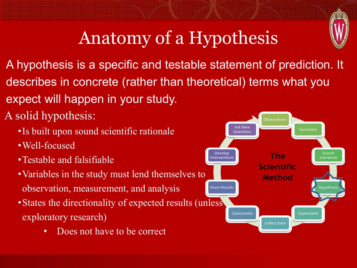

# Anatomy of a Hypothesis

A hypothesis is a specific and testable statement of prediction. It describes in concrete (rather than theoretical) terms what you expect will happen in your study.

A solid hypothesis:

- •Is built upon sound scientific rationale
- •Well-focused
- •Testable and falsifiable
- •Variables in the study must lend themselves to observation, measurement, and analysis
- States the directionality of expected results (unless) exploratory research)
	- Does not have to be correct

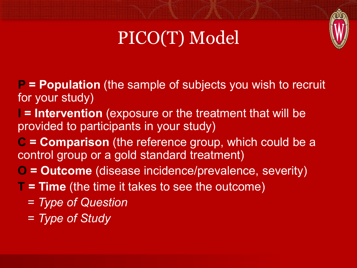

# PICO(T) Model

- **P = Population** (the sample of subjects you wish to recruit for your study)
- **I = Intervention** (exposure or the treatment that will be provided to participants in your study)
- **C = Comparison** (the reference group, which could be a control group or a gold standard treatment)
- **O = Outcome** (disease incidence/prevalence, severity)
- **T = Time** (the time it takes to see the outcome)
	- = *Type of Question*
	- = *Type of Study*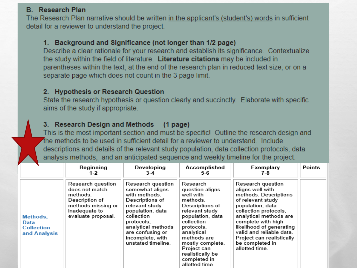#### **B.** Research Plan

The Research Plan narrative should be written in the applicant's (student's) words in sufficient detail for a reviewer to understand the project.

#### 1. Background and Significance (not longer than 1/2 page)

Describe a clear rationale for your research and establish its significance. Contextualize the study within the field of literature. Literature citations may be included in parentheses within the text, at the end of the research plan in reduced text size, or on a separate page which does not count in the 3 page limit.

#### 2. Hypothesis or Research Question

State the research hypothesis or question clearly and succinctly. Elaborate with specific aims of the study if appropriate.

#### 3. Research Design and Methods  $(1$  page)

This is the most important section and must be specific! Outline the research design and the methods to be used in sufficient detail for a reviewer to understand. Include descriptions and details of the relevant study population, data collection protocols, data analysis methods, and an anticipated sequence and weekly timeline for the project.

|                                                       | Beginning<br>1-2                                                                                                               | Developing<br>$3-4$                                                                                                                                                                                                            | Accomplished<br>5-6                                                                                                                                                                                                                                             | Exemplary<br>7-8                                                                                                                                                                                                                                                                                           | Points |
|-------------------------------------------------------|--------------------------------------------------------------------------------------------------------------------------------|--------------------------------------------------------------------------------------------------------------------------------------------------------------------------------------------------------------------------------|-----------------------------------------------------------------------------------------------------------------------------------------------------------------------------------------------------------------------------------------------------------------|------------------------------------------------------------------------------------------------------------------------------------------------------------------------------------------------------------------------------------------------------------------------------------------------------------|--------|
| Methods,<br>Data<br><b>Collection</b><br>and Analysis | Research question<br>does not match<br>methods.<br>Description of<br>methods missing or<br>inadequate to<br>evaluate proposal. | Research question<br>somewhat aligns<br>with methods.<br>Descriptions of<br>relevant study<br>population, data<br>collection<br>protocols.<br>analytical methods<br>are confusing or<br>incomplete, with<br>unstated timeline. | Research<br>question aligns<br>well with<br>methods.<br>Descriptions of<br>relevant study<br>population, data<br>collection<br>protocols.<br>analytical<br>methods are<br>mostly complete.<br>Project can<br>realistically be<br>completed in<br>allotted time. | Research question<br>aligns well with<br>methods. Descriptions<br>of relevant study<br>population, data<br>collection protocols,<br>analytical methods are<br>complete with high<br>likelihood of generating<br>valid and reliable data.<br>Project can realistically<br>be completed in<br>allotted time. |        |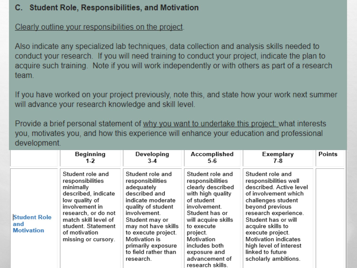#### C. Student Role, Responsibilities, and Motivation

Clearly outline your responsibilities on the project.

Also indicate any specialized lab techniques, data collection and analysis skills needed to conduct your research. If you will need training to conduct your project, indicate the plan to acquire such training. Note if you will work independently or with others as part of a research team.

If you have worked on your project previously, note this, and state how your work next summer will advance your research knowledge and skill level.

Provide a brief personal statement of why you want to undertake this project: what interests you, motivates you, and how this experience will enhance your education and professional development.

|                                                 | Beginning<br>1-2                                                                                                                                                                                                          | Developing<br>$3-4$                                                                                                                                                                                                                                                        | Accomplished<br>5-6                                                                                                                                                                                                                                                  | Exemplary<br>7-8                                                                                                                                                                                                                                                                                                            | <b>Points</b> |
|-------------------------------------------------|---------------------------------------------------------------------------------------------------------------------------------------------------------------------------------------------------------------------------|----------------------------------------------------------------------------------------------------------------------------------------------------------------------------------------------------------------------------------------------------------------------------|----------------------------------------------------------------------------------------------------------------------------------------------------------------------------------------------------------------------------------------------------------------------|-----------------------------------------------------------------------------------------------------------------------------------------------------------------------------------------------------------------------------------------------------------------------------------------------------------------------------|---------------|
| <b>Student Role</b><br>and<br><b>Motivation</b> | Student role and<br>responsibilities<br>minimally<br>described, indicate<br>low quality of<br>involvement in<br>research, or do not<br>match skill level of<br>student. Statement<br>of motivation<br>missing or cursory. | Student role and<br>responsibilities<br>adequately<br>described and<br>indicate moderate<br>quality of student<br>involvement.<br>Student may or<br>may not have skills<br>to execute project.<br>Motivation is<br>primarily exposure<br>to field rather than<br>research. | Student role and<br>responsibilities<br>clearly described<br>with high quality<br>of student<br>involvement.<br>Student has or<br>will acquire skills<br>to execute<br>project.<br>Motivation<br>includes both<br>exposure and<br>advancement of<br>research skills. | Student role and<br>responsibilities well<br>described. Active level<br>of involvement which<br>challenges student<br>beyond previous<br>research experience.<br>Student has or will<br>acquire skills to<br>execute project.<br>Motivation indicates<br>high level of interest<br>linked to future<br>scholarly ambitions. |               |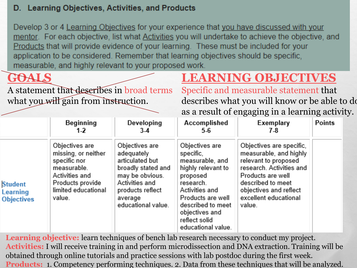#### D. Learning Objectives, Activities, and Products

Develop 3 or 4 Learning Objectives for your experience that you have discussed with your mentor. For each objective, list what Activities you will undertake to achieve the objective, and Products that will provide evidence of your learning. These must be included for your application to be considered. Remember that learning objectives should be specific, measurable, and highly relevant to your proposed work.

## **GOALS**

A statement that describes in broad terms what you will gain from instruction.

## **LEARNING OBJECTIVES**

Specific and measurable statement that describes what you will know or be able to do as a result of engaging in a learning activity.

|                                                 | Beginning<br>$1-2$                                                                                                                          | Developing<br>$3-4$                                                                                                                                             | Accomplished<br>5-6                                                                                                                                                                                                | Exemplary<br>7-8                                                                                                                                                                                              | <b>Points</b> |
|-------------------------------------------------|---------------------------------------------------------------------------------------------------------------------------------------------|-----------------------------------------------------------------------------------------------------------------------------------------------------------------|--------------------------------------------------------------------------------------------------------------------------------------------------------------------------------------------------------------------|---------------------------------------------------------------------------------------------------------------------------------------------------------------------------------------------------------------|---------------|
| <b>Student</b><br>Learning<br><b>Objectives</b> | Objectives are<br>missing, or neither<br>specific nor<br>measurable.<br>Activities and<br>Products provide<br>limited educational<br>value. | Objectives are<br>adequately<br>articulated but<br>broadly stated and<br>may be obvious.<br>Activities and<br>products reflect<br>average<br>educational value. | Objectives are<br>specific,<br>measurable, and<br>highly relevant to<br>proposed<br>research.<br>Activities and<br>Products are well<br>described to meet<br>objectives and<br>reflect solid<br>educational value. | Objectives are specific,<br>measurable, and highly<br>relevant to proposed<br>research. Activities and<br>Products are well<br>described to meet<br>objectives and reflect<br>excellent educational<br>value. |               |

Learning objective: learn techniques of bench lab research necessary to conduct my project. **Activities:** I will receive training in and perform microdissection and DNA extraction. Training will be obtained through online tutorials and practice sessions with lab postdoc during the first week. **Products:** 1. Competency performing techniques. 2. Data from these techniques that will be analyzed.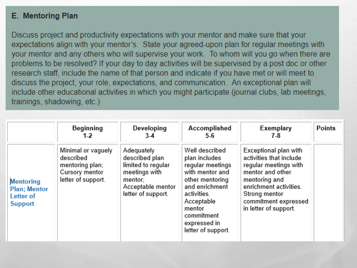#### E. Mentoring Plan

Discuss project and productivity expectations with your mentor and make sure that your expectations align with your mentor's. State your agreed-upon plan for regular meetings with your mentor and any others who will supervise your work. To whom will you go when there are problems to be resolved? If your day to day activities will be supervised by a post doc or other research staff, include the name of that person and indicate if you have met or will meet to discuss the project, your role, expectations, and communication. An exceptional plan will include other educational activities in which you might participate (journal clubs, lab meetings, trainings, shadowing, etc.)

|                                                                         | Beginning<br>1-2                                                                           | Developing<br>$3-4$                                                                                                       | Accomplished<br>$5-6$                                                                                                                                                                                  | Exemplary<br>7-8                                                                                                                                                                                           | <b>Points</b> |
|-------------------------------------------------------------------------|--------------------------------------------------------------------------------------------|---------------------------------------------------------------------------------------------------------------------------|--------------------------------------------------------------------------------------------------------------------------------------------------------------------------------------------------------|------------------------------------------------------------------------------------------------------------------------------------------------------------------------------------------------------------|---------------|
| <b>Mentoring</b><br><b>Plan</b> ; Mentor<br>Letter of<br><b>Support</b> | Minimal or vaguely<br>described<br>mentoring plan;<br>Cursory mentor<br>letter of support. | Adequately<br>described plan<br>limited to regular<br>meetings with<br>mentor:<br>Acceptable mentor<br>letter of support. | Well described<br>plan includes<br>regular meetings<br>with mentor and<br>other mentoring<br>and enrichment<br>activities.<br>Acceptable<br>mentor<br>commitment<br>expressed in<br>letter of support. | Exceptional plan with<br>activities that include<br>regular meetings with<br>mentor and other<br>mentoring and<br>enrichment activities.<br>Strong mentor<br>commitment expressed<br>in letter of support. |               |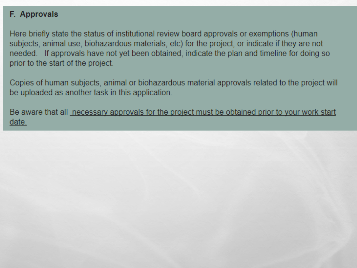#### F. Approvals

Here briefly state the status of institutional review board approvals or exemptions (human subjects, animal use, biohazardous materials, etc) for the project, or indicate if they are not needed. If approvals have not yet been obtained, indicate the plan and timeline for doing so prior to the start of the project.

Copies of human subjects, animal or biohazardous material approvals related to the project will be uploaded as another task in this application.

Be aware that all necessary approvals for the project must be obtained prior to your work start date.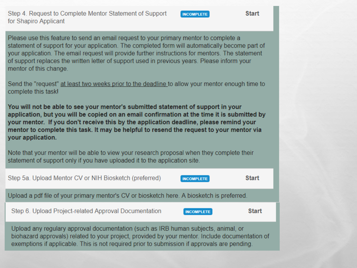#### Step 4. Request to Complete Mentor Statement of Support for Shapiro Applicant

**INCOMPLETE** 

**Start** 

Please use this feature to send an email request to your primary mentor to complete a statement of support for your application. The completed form will automatically become part of your application. The email request will provide further instructions for mentors. The statement of support replaces the written letter of support used in previous years. Please inform your mentor of this change.

Send the "request" at least two weeks prior to the deadline to allow your mentor enough time to complete this task!

You will not be able to see your mentor's submitted statement of support in your application, but you will be copied on an email confirmation at the time it is submitted by your mentor. If you don't receive this by the application deadline, please remind your mentor to complete this task. It may be helpful to resend the request to your mentor via your application.

Note that your mentor will be able to view your research proposal when they complete their statement of support only if you have uploaded it to the application site.

| Step 5a. Upload Mentor CV or NIH Biosketch (preferred)                                                                                                                                                                                                                                | <b>INCOMPLETE</b> | <b>Start</b> |
|---------------------------------------------------------------------------------------------------------------------------------------------------------------------------------------------------------------------------------------------------------------------------------------|-------------------|--------------|
| Upload a pdf file of your primary mentor's CV or biosketch here. A biosketch is preferred.                                                                                                                                                                                            |                   |              |
| Step 6. Upload Project-related Approval Documentation                                                                                                                                                                                                                                 | <b>INCOMPLETE</b> | <b>Start</b> |
| Upload any regulary approval documentation (such as IRB human subjects, animal, or<br>biohazard approvals) related to your project, provided by your mentor. Include documentation of<br>exemptions if applicable. This is not required prior to submission if approvals are pending. |                   |              |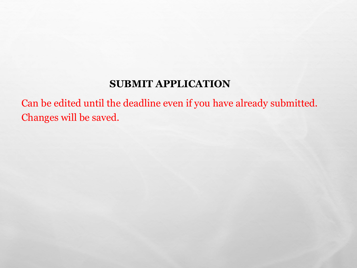### **SUBMIT APPLICATION**

Can be edited until the deadline even if you have already submitted. Changes will be saved.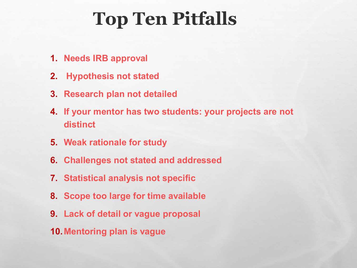# **Top Ten Pitfalls**

- **1. Needs IRB approval**
- **2. Hypothesis not stated**
- **3. Research plan not detailed**
- **4. If your mentor has two students: your projects are not distinct**
- **5. Weak rationale for study**
- **6. Challenges not stated and addressed**
- **7. Statistical analysis not specific**
- **8. Scope too large for time available**
- **9. Lack of detail or vague proposal**
- **10.Mentoring plan is vague**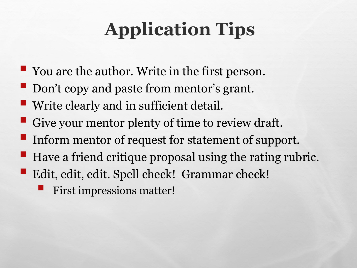# **Application Tips**

- You are the author. Write in the first person.
- Don't copy and paste from mentor's grant.
- **Write clearly and in sufficient detail.**
- Give your mentor plenty of time to review draft.
- Inform mentor of request for statement of support.
- $\blacksquare$  Have a friend critique proposal using the rating rubric.
- Edit, edit, edit. Spell check! Grammar check!
	- First impressions matter!